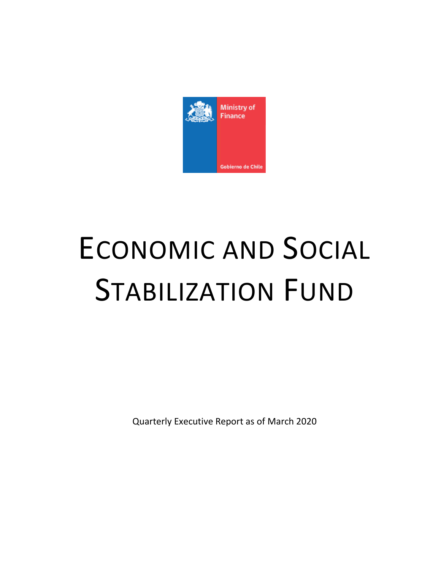

# ECONOMIC AND SOCIAL STABILIZATION FUND

Quarterly Executive Report as of March 2020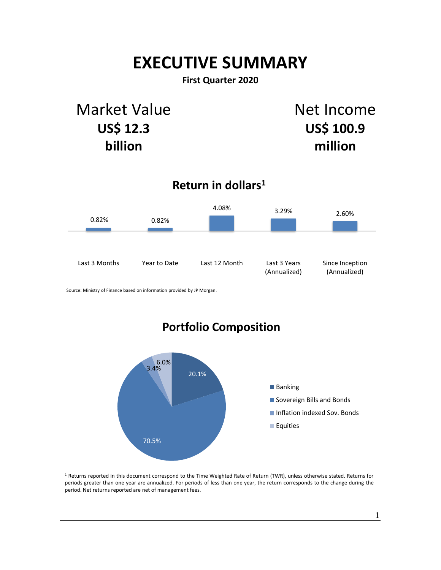# **EXECUTIVE SUMMARY**

## **First Quarter 2020**

## Market Value **US\$ 12.3 billion**

Net Income **US\$ 100.9 million**

## **Return in dollars<sup>1</sup>**



Source: Ministry of Finance based on information provided by JP Morgan.

## **Portfolio Composition**



<sup>1</sup> Returns reported in this document correspond to the Time Weighted Rate of Return (TWR), unless otherwise stated. Returns for periods greater than one year are annualized. For periods of less than one year, the return corresponds to the change during the period. Net returns reported are net of management fees.

1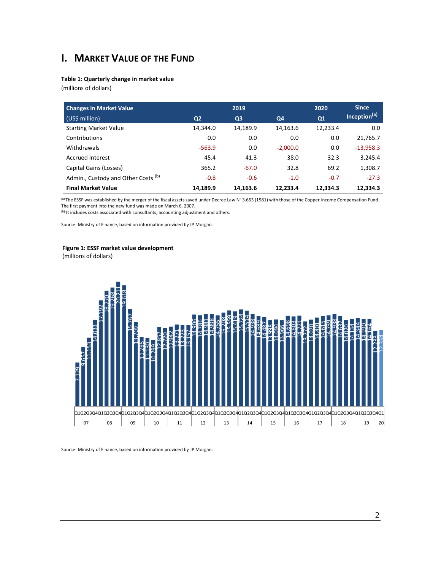## **I. MARKET VALUE OF THE FUND**

#### **Table 1: Quarterly change in market value**

(millions of dollars)

| <b>Changes in Market Value</b>                 |                | 2019           |            | 2020     | <b>Since</b>             |
|------------------------------------------------|----------------|----------------|------------|----------|--------------------------|
| (US\$ million)                                 | Q <sub>2</sub> | Q <sub>3</sub> | Q4         | Q1       | Inception <sup>(a)</sup> |
| <b>Starting Market Value</b>                   | 14,344.0       | 14,189.9       | 14,163.6   | 12,233.4 | 0.0                      |
| Contributions                                  | 0.0            | 0.0            | 0.0        | 0.0      | 21,765.7                 |
| Withdrawals                                    | $-563.9$       | 0.0            | $-2,000.0$ | 0.0      | $-13,958.3$              |
| <b>Accrued Interest</b>                        | 45.4           | 41.3           | 38.0       | 32.3     | 3,245.4                  |
| Capital Gains (Losses)                         | 365.2          | $-67.0$        | 32.8       | 69.2     | 1,308.7                  |
| Admin., Custody and Other Costs <sup>(b)</sup> | $-0.8$         | $-0.6$         | $-1.0$     | $-0.7$   | $-27.3$                  |
| <b>Final Market Value</b>                      | 14,189.9       | 14,163.6       | 12.233.4   | 12.334.3 | 12.334.3                 |

(a) The ESSF was established by the merger of the fiscal assets saved under Decree Law N° 3.653 (1981) with those of the Copper Income Compensation Fund. The first payment into the new fund was made on March 6, 2007.

(b) It includes costs associated with consultants, accounting adjustment and others.

Source: Ministry of Finance, based on information provided by JP Morgan.

#### **Figure 1: ESSF market value development**

(millions of dollars)



2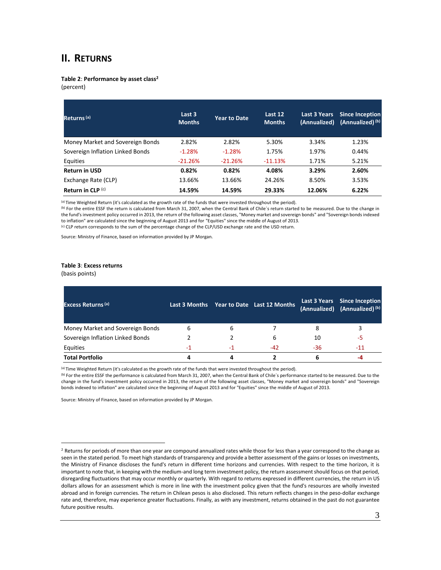## **II. RETURNS**

**Table 2**: **Performance by asset class<sup>2</sup>**

(percent)

| Returns <sup>(a)</sup>           | Last 3<br><b>Months</b> | <b>Year to Date</b> | Last 12<br><b>Months</b> | <b>Last 3 Years</b><br>(Annualized) | <b>Since Inception</b><br>(Annualized) <sup>(b)</sup> |
|----------------------------------|-------------------------|---------------------|--------------------------|-------------------------------------|-------------------------------------------------------|
| Money Market and Sovereign Bonds | 2.82%                   | 2.82%               | 5.30%                    | 3.34%                               | 1.23%                                                 |
| Sovereign Inflation Linked Bonds | $-1.28%$                | $-1.28%$            | 1.75%                    | 1.97%                               | 0.44%                                                 |
| Equities                         | $-21.26%$               | $-21.26%$           | $-11.13%$                | 1.71%                               | 5.21%                                                 |
| <b>Return in USD</b>             | 0.82%                   | 0.82%               | 4.08%                    | 3.29%                               | 2.60%                                                 |
| Exchange Rate (CLP)              | 13.66%                  | 13.66%              | 24.26%                   | 8.50%                               | 3.53%                                                 |
| Return in $CLP^{(c)}$            | 14.59%                  | 14.59%              | 29.33%                   | 12.06%                              | 6.22%                                                 |

(a) Time Weighted Return (it's calculated as the growth rate of the funds that were invested throughout the period).

(b) For the entire ESSF the return is calculated from March 31, 2007, when the Central Bank of Chile's return started to be measured. Due to the change in the fund's investment policy occurred in 2013, the return of the following asset classes, "Money market and sovereign bonds" and "Sovereign bonds indexed to inflation" are calculated since the beginning of August 2013 and for "Equities" since the middle of August of 2013. (c) CLP return corresponds to the sum of the percentage change of the CLP/USD exchange rate and the USD return.

Source: Ministry of Finance, based on information provided by JP Morgan.

#### **Table 3**: **Excess returns**

(basis points)

 $\overline{a}$ 

| <b>Excess Returns (a)</b>        |    |    | Last 3 Months Year to Date Last 12 Months |     | Last 3 Years Since Inception<br>(Annualized) (Annualized) <sup>(b)</sup> |
|----------------------------------|----|----|-------------------------------------------|-----|--------------------------------------------------------------------------|
| Money Market and Sovereign Bonds | 6  | b  |                                           | 8   |                                                                          |
| Sovereign Inflation Linked Bonds |    |    | 6                                         | 10  | -5                                                                       |
| Equities                         | -1 | -1 | $-42$                                     | -36 | $-11$                                                                    |
| <b>Total Portfolio</b>           |    |    |                                           | 6   |                                                                          |

(a) Time Weighted Return (it's calculated as the growth rate of the funds that were invested throughout the period).

(b) For the entire ESSF the performance is calculated from March 31, 2007, when the Central Bank of Chile's performance started to be measured. Due to the change in the fund's investment policy occurred in 2013, the return of the following asset classes, "Money market and sovereign bonds" and "Sovereign bonds indexed to inflation" are calculated since the beginning of August 2013 and for "Equities" since the middle of August of 2013.

Source: Ministry of Finance, based on information provided by JP Morgan.

<sup>&</sup>lt;sup>2</sup> Returns for periods of more than one year are compound annualized rates while those for less than a year correspond to the change as seen in the stated period. To meet high standards of transparency and provide a better assessment of the gains or losses on investments, the Ministry of Finance discloses the fund's return in different time horizons and currencies. With respect to the time horizon, it is important to note that, in keeping with the medium-and long term investment policy, the return assessment should focus on that period, disregarding fluctuations that may occur monthly or quarterly. With regard to returns expressed in different currencies, the return in US dollars allows for an assessment which is more in line with the investment policy given that the fund's resources are wholly invested abroad and in foreign currencies. The return in Chilean pesos is also disclosed. This return reflects changes in the peso-dollar exchange rate and, therefore, may experience greater fluctuations. Finally, as with any investment, returns obtained in the past do not guarantee future positive results.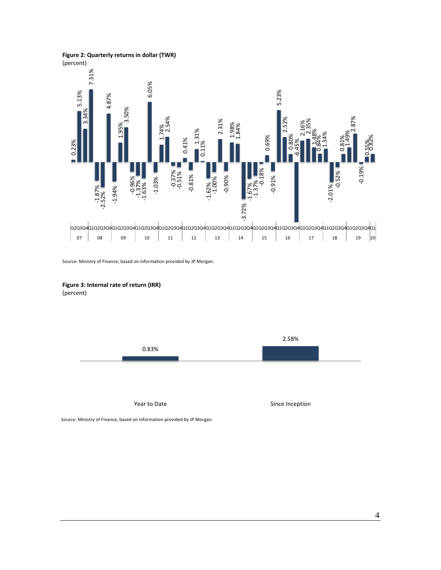**Figure 2: Quarterly returns in dollar (TWR)**

(percent)



Source: Ministry of Finance, based on information provided by JP Morgan.

#### **Figure 3: Internal rate of return (IRR)** (percent)

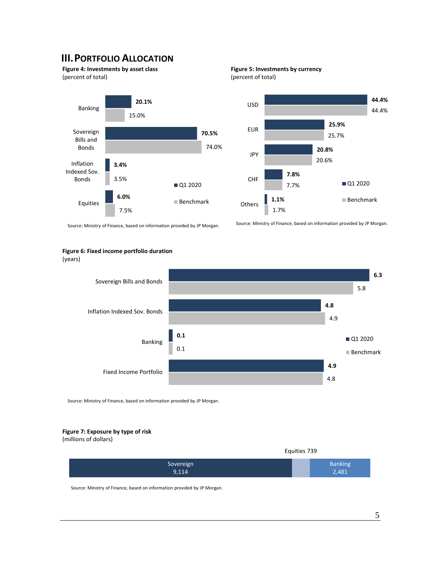## **III.PORTFOLIO ALLOCATION**

**Figure 4: Investments by asset class** (percent of total)







Source: Ministry of Finance, based on information provided by JP Morgan.

#### **Figure 6: Fixed income portfolio duration**





Source: Ministry of Finance, based on information provided by JP Morgan.

#### **Figure 7: Exposure by type of risk**

(millions of dollars)

|           | Equities 739   |
|-----------|----------------|
| Sovereign | <b>Banking</b> |
| 9,114     | 2,481          |

Source: Ministry of Finance, based on information provided by JP Morgan.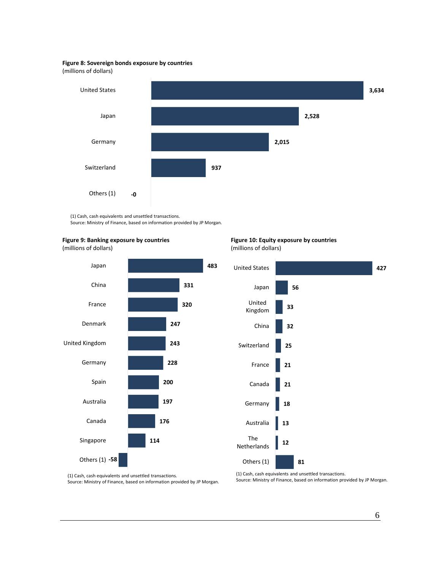#### **Figure 8: Sovereign bonds exposure by countries**

(millions of dollars)



(1) Cash, cash equivalents and unsettled transactions. Source: Ministry of Finance, based on information provided by JP Morgan.

#### **Figure 9: Banking exposure by countries**

(millions of dollars)



#### **Figure 10: Equity exposure by countries** (millions of dollars)



(1) Cash, cash equivalents and unsettled transactions. Source: Ministry of Finance, based on information provided by JP Morgan. (1) Cash, cash equivalents and unsettled transactions. Source: Ministry of Finance, based on information provided by JP Morgan.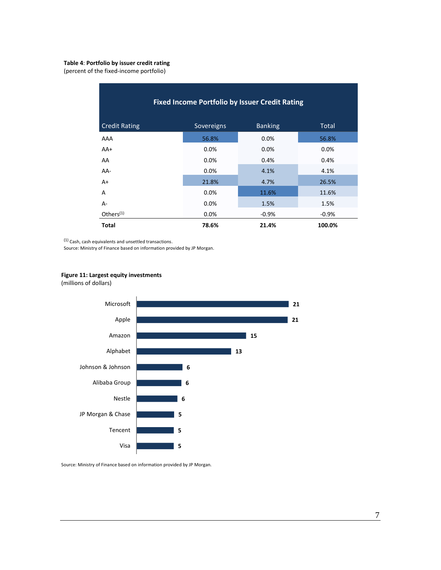#### **Table 4**: **Portfolio by issuer credit rating**

(percent of the fixed-income portfolio)

| <b>Fixed Income Portfolio by Issuer Credit Rating</b> |            |                |         |  |  |
|-------------------------------------------------------|------------|----------------|---------|--|--|
| <b>Credit Rating</b>                                  | Sovereigns | <b>Banking</b> | Total   |  |  |
| AAA                                                   | 56.8%      | 0.0%           | 56.8%   |  |  |
| $AA+$                                                 | 0.0%       | 0.0%           | 0.0%    |  |  |
| AA                                                    | 0.0%       | 0.4%           | 0.4%    |  |  |
| AA-                                                   | 0.0%       | 4.1%           | 4.1%    |  |  |
| $A+$                                                  | 21.8%      | 4.7%           | 26.5%   |  |  |
| A                                                     | 0.0%       | 11.6%          | 11.6%   |  |  |
| A-                                                    | 0.0%       | 1.5%           | 1.5%    |  |  |
| Others $(1)$                                          | 0.0%       | $-0.9%$        | $-0.9%$ |  |  |
| <b>Total</b>                                          | 78.6%      | 21.4%          | 100.0%  |  |  |

(1) Cash, cash equivalents and unsettled transactions.

Source: Ministry of Finance based on information provided by JP Morgan.



(millions of dollars)



Source: Ministry of Finance based on information provided by JP Morgan.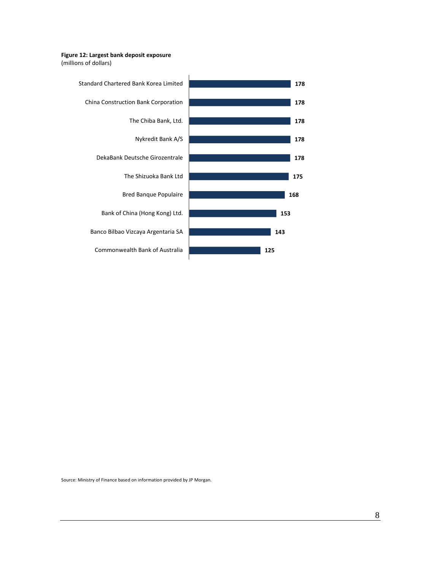#### **Figure 12: Largest bank deposit exposure**

(millions of dollars)



Source: Ministry of Finance based on information provided by JP Morgan.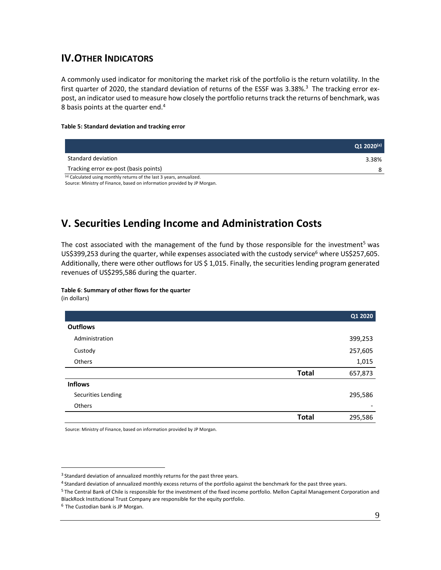## **IV.OTHER INDICATORS**

A commonly used indicator for monitoring the market risk of the portfolio is the return volatility. In the first quarter of 2020, the standard deviation of returns of the ESSF was 3.38%.<sup>3</sup> The tracking error expost, an indicator used to measure how closely the portfolio returns track the returns of benchmark, was 8 basis points at the quarter end.<sup>4</sup>

#### **Table 5: Standard deviation and tracking error**

|                                                                       | $Q1 2020^{(a)}$ |
|-----------------------------------------------------------------------|-----------------|
| Standard deviation                                                    | 3.38%           |
| Tracking error ex-post (basis points)                                 | 8               |
| (a) Calculated using monthly returns of the last 3 years, annualized. |                 |

Source: Ministry of Finance, based on information provided by JP Morgan.

## **V. Securities Lending Income and Administration Costs**

The cost associated with the management of the fund by those responsible for the investment<sup>5</sup> was US\$399,253 during the quarter, while expenses associated with the custody service<sup>6</sup> where US\$257,605. Additionally, there were other outflowsfor US \$ 1,015. Finally, the securities lending program generated revenues of US\$295,586 during the quarter.

### **Table 6**: **Summary of other flows for the quarter**

(in dollars)

 $\overline{a}$ 

|                    |              | Q1 2020 |
|--------------------|--------------|---------|
| <b>Outflows</b>    |              |         |
| Administration     |              | 399,253 |
| Custody            |              | 257,605 |
| Others             |              | 1,015   |
|                    | <b>Total</b> | 657,873 |
| <b>Inflows</b>     |              |         |
| Securities Lending |              | 295,586 |
| Others             |              |         |
|                    | <b>Total</b> | 295,586 |

Source: Ministry of Finance, based on information provided by JP Morgan.

<sup>&</sup>lt;sup>3</sup> Standard deviation of annualized monthly returns for the past three years.

<sup>4</sup> Standard deviation of annualized monthly excess returns of the portfolio against the benchmark for the past three years.

<sup>5</sup> The Central Bank of Chile is responsible for the investment of the fixed income portfolio. Mellon Capital Management Corporation and BlackRock Institutional Trust Company are responsible for the equity portfolio.

<sup>6</sup> The Custodian bank is JP Morgan.